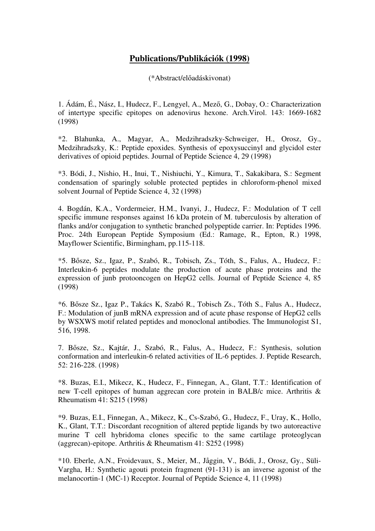## **Publications/Publikációk (1998)**

(\*Abstract/előadáskivonat)

1. Ádám, É., Nász, I., Hudecz, F., Lengyel, A., Mező, G., Dobay, O.: Characterization of intertype specific epitopes on adenovirus hexone. Arch.Virol. 143: 1669-1682 (1998)

\*2. Blahunka, A., Magyar, A., Medzihradszky-Schweiger, H., Orosz, Gy., Medzihradszky, K.: Peptide epoxides. Synthesis of epoxysuccinyl and glycidol ester derivatives of opioid peptides. Journal of Peptide Science 4, 29 (1998)

\*3. Bódi, J., Nishio, H., Inui, T., Nishiuchi, Y., Kimura, T., Sakakibara, S.: Segment condensation of sparingly soluble protected peptides in chloroform-phenol mixed solvent Journal of Peptide Science 4, 32 (1998)

4. Bogdán, K.A., Vordermeier, H.M., Ivanyi, J., Hudecz, F.: Modulation of T cell specific immune responses against 16 kDa protein of M. tuberculosis by alteration of flanks and/or conjugation to synthetic branched polypeptide carrier. In: Peptides 1996. Proc. 24th European Peptide Symposium (Ed.: Ramage, R., Epton, R.) 1998, Mayflower Scientific, Birmingham, pp.115-118.

\*5. Bősze, Sz., Igaz, P., Szabó, R., Tobisch, Zs., Tóth, S., Falus, A., Hudecz, F.: Interleukin-6 peptides modulate the production of acute phase proteins and the expression of junb protooncogen on HepG2 cells. Journal of Peptide Science 4, 85 (1998)

\*6. Bősze Sz., Igaz P., Takács K, Szabó R., Tobisch Zs., Tóth S., Falus A., Hudecz, F.: Modulation of junB mRNA expression and of acute phase response of HepG2 cells by WSXWS motif related peptides and monoclonal antibodies. The Immunologist S1, 516, 1998.

7. Bősze, Sz., Kajtár, J., Szabó, R., Falus, A., Hudecz, F.: Synthesis, solution conformation and interleukin-6 related activities of IL-6 peptides. J. Peptide Research, 52: 216-228. (1998)

\*8. Buzas, E.I., Mikecz, K., Hudecz, F., Finnegan, A., Glant, T.T.: Identification of new T-cell epitopes of human aggrecan core protein in BALB/c mice. Arthritis & Rheumatism 41: S215 (1998)

\*9. Buzas, E.I., Finnegan, A., Mikecz, K., Cs-Szabó, G., Hudecz, F., Uray, K., Hollo, K., Glant, T.T.: Discordant recognition of altered peptide ligands by two autoreactive murine T cell hybridoma clones specific to the same cartilage proteoglycan (aggrecan)-epitope. Arthritis & Rheumatism 41: S252 (1998)

\*10. Eberle, A.N., Froidevaux, S., Meier, M., Jåggin, V., Bódi, J., Orosz, Gy., Süli-Vargha, H.: Synthetic agouti protein fragment (91-131) is an inverse agonist of the melanocortin-1 (MC-1) Receptor. Journal of Peptide Science 4, 11 (1998)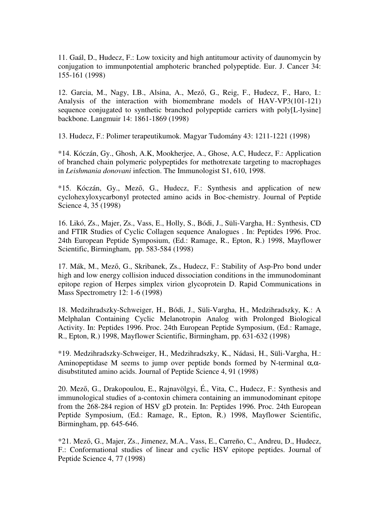11. Gaál, D., Hudecz, F.: Low toxicity and high antitumour activity of daunomycin by conjugation to immunpotential amphoteric branched polypeptide. Eur. J. Cancer 34: 155-161 (1998)

12. Garcia, M., Nagy, I.B., Alsina, A., Mező, G., Reig, F., Hudecz, F., Haro, I.: Analysis of the interaction with biomembrane models of HAV-VP3(101-121) sequence conjugated to synthetic branched polypeptide carriers with poly[L-lysine] backbone. Langmuir 14: 1861-1869 (1998)

13. Hudecz, F.: Polimer terapeutikumok. Magyar Tudomány 43: 1211-1221 (1998)

\*14. Kóczán, Gy., Ghosh, A.K, Mookherjee, A., Ghose, A.C, Hudecz, F.: Application of branched chain polymeric polypeptides for methotrexate targeting to macrophages in *Leishmania donovani* infection. The Immunologist S1, 610, 1998.

\*15. Kóczán, Gy., Mező, G., Hudecz, F.: Synthesis and application of new cyclohexyloxycarbonyl protected amino acids in Boc-chemistry. Journal of Peptide Science 4, 35 (1998)

16. Likó, Zs., Majer, Zs., Vass, E., Holly, S., Bódi, J., Süli-Vargha, H.: Synthesis, CD and FTIR Studies of Cyclic Collagen sequence Analogues . In: Peptides 1996. Proc. 24th European Peptide Symposium, (Ed.: Ramage, R., Epton, R.) 1998, Mayflower Scientific, Birmingham, pp. 583-584 (1998)

17. Mák, M., Mező, G., Skribanek, Zs., Hudecz, F.: Stability of Asp-Pro bond under high and low energy collision induced dissociation conditions in the immunodominant epitope region of Herpes simplex virion glycoprotein D. Rapid Communications in Mass Spectrometry 12: 1-6 (1998)

18. Medzihradszky-Schweiger, H., Bódi, J., Süli-Vargha, H., Medzihradszky, K.: A Melphalan Containing Cyclic Melanotropin Analog with Prolonged Biological Activity. In: Peptides 1996. Proc. 24th European Peptide Symposium, (Ed.: Ramage, R., Epton, R.) 1998, Mayflower Scientific, Birmingham, pp. 631-632 (1998)

\*19. Medzihradszky-Schweiger, H., Medzihradszky, K., Nádasi, H., Süli-Vargha, H.: Aminopeptidase M seems to jump over peptide bonds formed by N-terminal  $\alpha$ , $\alpha$ disubstituted amino acids. Journal of Peptide Science 4, 91 (1998)

20. Mező, G., Drakopoulou, E., Rajnavölgyi, É., Vita, C., Hudecz, F.: Synthesis and immunological studies of a-contoxin chimera containing an immunodominant epitope from the 268-284 region of HSV gD protein. In: Peptides 1996. Proc. 24th European Peptide Symposium, (Ed.: Ramage, R., Epton, R.) 1998, Mayflower Scientific, Birmingham, pp. 645-646.

\*21. Mező, G., Majer, Zs., Jimenez, M.A., Vass, E., Carreño, C., Andreu, D., Hudecz, F.: Conformational studies of linear and cyclic HSV epitope peptides. Journal of Peptide Science 4, 77 (1998)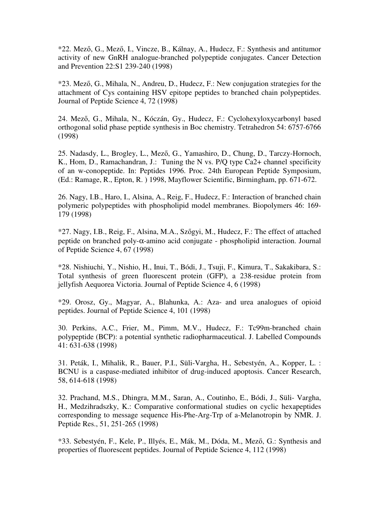\*22. Mező, G., Mező, I., Vincze, B., Kálnay, A., Hudecz, F.: Synthesis and antitumor activity of new GnRH analogue-branched polypeptide conjugates. Cancer Detection and Prevention 22:S1 239-240 (1998)

\*23. Mező, G., Mihala, N., Andreu, D., Hudecz, F.: New conjugation strategies for the attachment of Cys containing HSV epitope peptides to branched chain polypeptides. Journal of Peptide Science 4, 72 (1998)

24. Mező, G., Mihala, N., Kóczán, Gy., Hudecz, F.: Cyclohexyloxycarbonyl based orthogonal solid phase peptide synthesis in Boc chemistry. Tetrahedron 54: 6757-6766 (1998)

25. Nadasdy, L., Brogley, L., Mező, G., Yamashiro, D., Chung, D., Tarczy-Hornoch, K., Hom, D., Ramachandran, J.: Tuning the N vs. P/Q type Ca2+ channel specificity of an w-conopeptide. In: Peptides 1996. Proc. 24th European Peptide Symposium, (Ed.: Ramage, R., Epton, R. ) 1998, Mayflower Scientific, Birmingham, pp. 671-672.

26. Nagy, I.B., Haro, I., Alsina, A., Reig, F., Hudecz, F.: Interaction of branched chain polymeric polypeptides with phospholipid model membranes. Biopolymers 46: 169- 179 (1998)

\*27. Nagy, I.B., Reig, F., Alsina, M.A., Szőgyi, M., Hudecz, F.: The effect of attached peptide on branched poly-α-amino acid conjugate - phospholipid interaction. Journal of Peptide Science 4, 67 (1998)

\*28. Nishiuchi, Y., Nishio, H., Inui, T., Bódi, J., Tsuji, F., Kimura, T., Sakakibara, S.: Total synthesis of green fluorescent protein (GFP), a 238-residue protein from jellyfish Aequorea Victoria. Journal of Peptide Science 4, 6 (1998)

\*29. Orosz, Gy., Magyar, A., Blahunka, A.: Aza- and urea analogues of opioid peptides. Journal of Peptide Science 4, 101 (1998)

30. Perkins, A.C., Frier, M., Pimm, M.V., Hudecz, F.: Tc99m-branched chain polypeptide (BCP): a potential synthetic radiopharmaceutical. J. Labelled Compounds 41: 631-638 (1998)

31. Peták, I., Mihalik, R., Bauer, P.I., Süli-Vargha, H., Sebestyén, A., Kopper, L. : BCNU is a caspase-mediated inhibitor of drug-induced apoptosis. Cancer Research, 58, 614-618 (1998)

32. Prachand, M.S., Dhingra, M.M., Saran, A., Coutinho, E., Bódi, J., Süli- Vargha, H., Medzihradszky, K.: Comparative conformational studies on cyclic hexapeptides corresponding to message sequence His-Phe-Arg-Trp of a-Melanotropin by NMR. J. Peptide Res., 51, 251-265 (1998)

\*33. Sebestyén, F., Kele, P., Illyés, E., Mák, M., Dóda, M., Mező, G.: Synthesis and properties of fluorescent peptides. Journal of Peptide Science 4, 112 (1998)